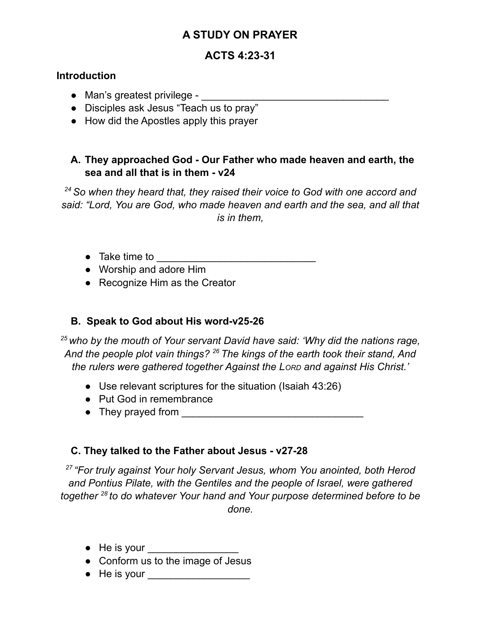# **A STUDY ON PRAYER**

## **ACTS 4:23-31**

#### **Introduction**

- Man's greatest privilege \_\_\_\_\_\_\_\_\_\_\_\_\_\_\_\_\_\_\_\_\_\_\_\_\_\_\_\_\_\_\_\_\_
- Disciples ask Jesus "Teach us to pray"
- How did the Apostles apply this prayer

## **A. They approached God - Our Father who made heaven and earth, the sea and all that is in them - v24**

*<sup>24</sup>So when they heard that, they raised their voice to God with one accord and said: "Lord, You are God, who made heaven and earth and the sea, and all that is in them,*

- $\bullet$  Take time to  $\bullet$
- Worship and adore Him
- Recognize Him as the Creator

## **B. Speak to God about His word-v25-26**

*<sup>25</sup> who by the mouth of Your servant David have said: 'Why did the nations rage, And the people plot vain things? <sup>26</sup> The kings of the earth took their stand, And the rulers were gathered together Against the LORD and against His Christ.'*

- Use relevant scriptures for the situation (Isaiah 43:26)
- Put God in remembrance
- They prayed from <u>\_\_\_\_\_\_\_\_\_\_\_\_\_\_\_\_\_\_\_\_\_\_\_\_\_\_\_\_\_\_\_\_\_\_\_</u>

## **C. They talked to the Father about Jesus - v27-28**

*27 "For truly against Your holy Servant Jesus, whom You anointed, both Herod and Pontius Pilate, with the Gentiles and the people of Israel, were gathered together 28 to do whatever Your hand and Your purpose determined before to be done.*

- $\bullet$  He is your
- Conform us to the image of Jesus
- He is your \_\_\_\_\_\_\_\_\_\_\_\_\_\_\_\_\_\_